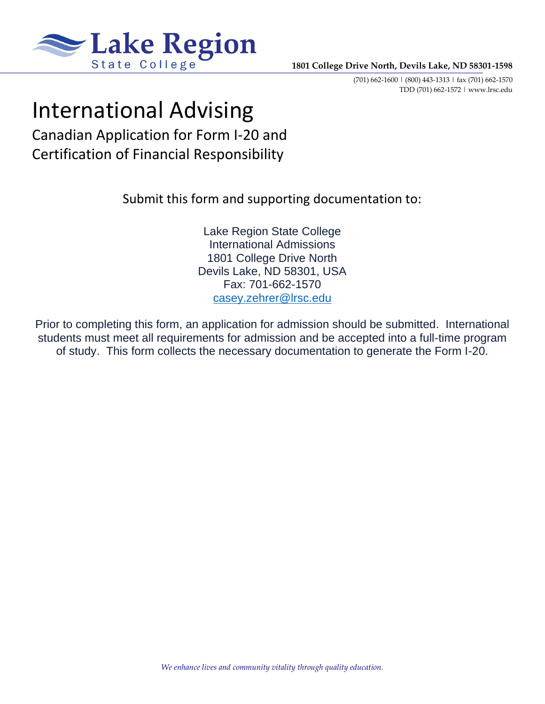

(701) 662-1600 | (800) 443-1313 | fax (701) 662-1570 TDD (701) 662-1572 | www.lrsc.edu

# International Advising

Canadian Application for Form I-20 and Certification of Financial Responsibility

Submit this form and supporting documentation to:

Lake Region State College International Admissions 1801 College Drive North Devils Lake, ND 58301, USA Fax: 701-662-1570 [casey.zehrer@lrsc.edu](mailto:casey.zehrer@lrsc.edu)

Prior to completing this form, an application for admission should be submitted. International students must meet all requirements for admission and be accepted into a full-time program of study. This form collects the necessary documentation to generate the Form I-20.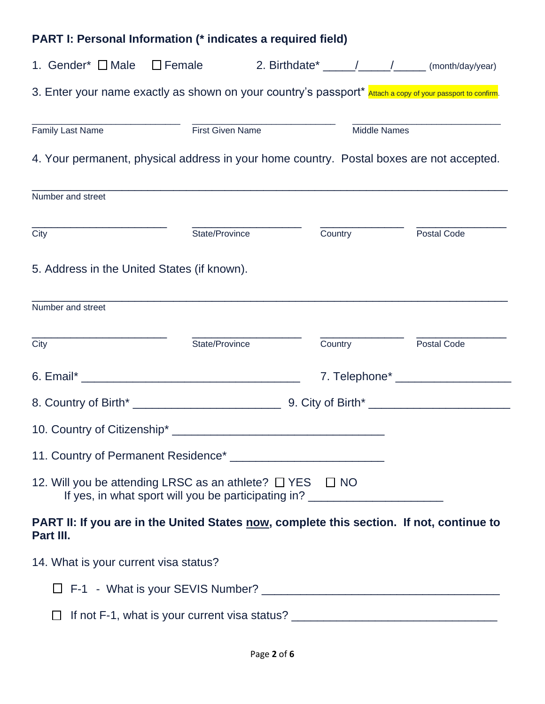## **PART I: Personal Information (\* indicates a required field)**

|                                             | 1. Gender* I Male I Female 2. Birthdate* 1. 1. 1. 1. 1. (month/day/year)                                                                               |                        |                    |
|---------------------------------------------|--------------------------------------------------------------------------------------------------------------------------------------------------------|------------------------|--------------------|
|                                             | 3. Enter your name exactly as shown on your country's passport* Attach a copy of your passport to confirm.                                             |                        |                    |
| <b>Family Last Name</b>                     | <b>First Given Name</b>                                                                                                                                | <b>Middle Names</b>    |                    |
|                                             | 4. Your permanent, physical address in your home country. Postal boxes are not accepted.                                                               |                        |                    |
| Number and street                           |                                                                                                                                                        |                        |                    |
| City                                        | State/Province                                                                                                                                         | Country                | Postal Code        |
| 5. Address in the United States (if known). |                                                                                                                                                        |                        |                    |
| Number and street                           |                                                                                                                                                        |                        |                    |
| City                                        | State/Province                                                                                                                                         | <b>Country Country</b> | <b>Postal Code</b> |
|                                             |                                                                                                                                                        |                        |                    |
|                                             |                                                                                                                                                        |                        |                    |
|                                             |                                                                                                                                                        |                        |                    |
|                                             |                                                                                                                                                        |                        |                    |
|                                             | 12. Will you be attending LRSC as an athlete? $\Box$ YES $\Box$ NO<br>If yes, in what sport will you be participating in? ____________________________ |                        |                    |
| Part III.                                   | PART II: If you are in the United States now, complete this section. If not, continue to                                                               |                        |                    |
| 14. What is your current visa status?       |                                                                                                                                                        |                        |                    |
|                                             |                                                                                                                                                        |                        |                    |

 $\Box$  If not F-1, what is your current visa status?  $\Box$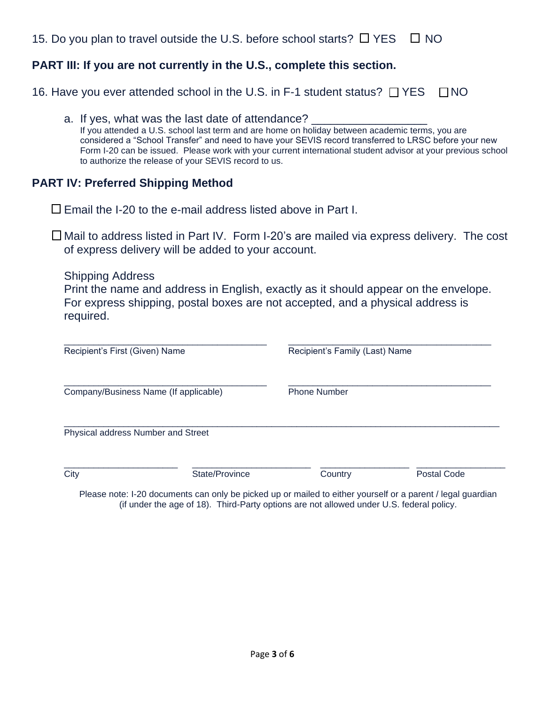15. Do you plan to travel outside the U.S. before school starts?  $\Box$  YES  $\Box$  NO

#### **PART III: If you are not currently in the U.S., complete this section.**

16. Have you ever attended school in the U.S. in F-1 student status?  $\Box$  YES  $\Box$  NO

a. If yes, what was the last date of attendance? If you attended a U.S. school last term and are home on holiday between academic terms, you are considered a "School Transfer" and need to have your SEVIS record transferred to LRSC before your new Form I-20 can be issued. Please work with your current international student advisor at your previous school to authorize the release of your SEVIS record to us.

#### **PART IV: Preferred Shipping Method**

 $\Box$  Fmail the I-20 to the e-mail address listed above in Part I.

 $\Box$  Mail to address listed in Part IV. Form I-20's are mailed via express delivery. The cost of express delivery will be added to your account.

Shipping Address Print the name and address in English, exactly as it should appear on the envelope. For express shipping, postal boxes are not accepted, and a physical address is required.

| Recipient's First (Given) Name        |                                    | Recipient's Family (Last) Name |             |  |
|---------------------------------------|------------------------------------|--------------------------------|-------------|--|
| Company/Business Name (If applicable) |                                    | <b>Phone Number</b>            |             |  |
|                                       | Physical address Number and Street |                                |             |  |
| City                                  | State/Province                     | Country                        | Postal Code |  |

Please note: I-20 documents can only be picked up or mailed to either yourself or a parent / legal guardian (if under the age of 18). Third-Party options are not allowed under U.S. federal policy.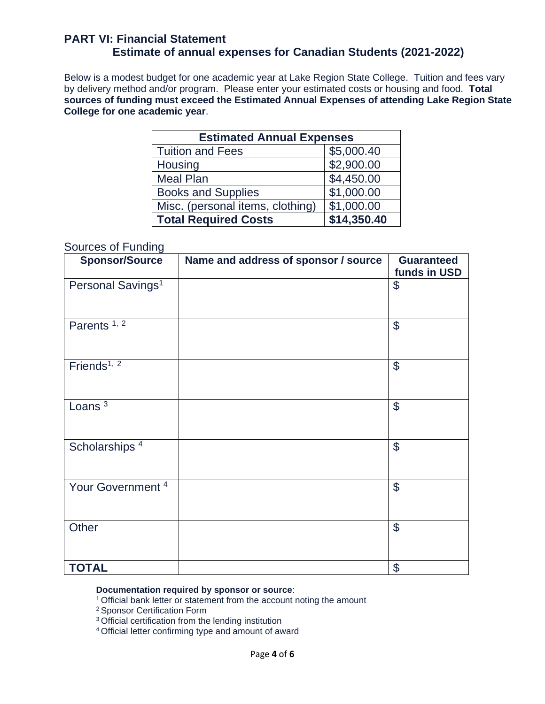#### **PART VI: Financial Statement Estimate of annual expenses for Canadian Students (2021-2022)**

Below is a modest budget for one academic year at Lake Region State College. Tuition and fees vary by delivery method and/or program. Please enter your estimated costs or housing and food. **Total sources of funding must exceed the Estimated Annual Expenses of attending Lake Region State College for one academic year**.

| <b>Estimated Annual Expenses</b> |             |  |  |  |
|----------------------------------|-------------|--|--|--|
| <b>Tuition and Fees</b>          | \$5,000.40  |  |  |  |
| Housing                          | \$2,900.00  |  |  |  |
| <b>Meal Plan</b>                 | \$4,450.00  |  |  |  |
| <b>Books and Supplies</b>        | \$1,000.00  |  |  |  |
| Misc. (personal items, clothing) | \$1,000.00  |  |  |  |
| <b>Total Required Costs</b>      | \$14,350.40 |  |  |  |

#### Sources of Funding

| <b>Sponsor/Source</b>         | Name and address of sponsor / source | <b>Guaranteed</b><br>funds in USD |
|-------------------------------|--------------------------------------|-----------------------------------|
| Personal Savings <sup>1</sup> |                                      | \$                                |
| Parents <sup>1, 2</sup>       |                                      | $\boldsymbol{\theta}$             |
| Friends <sup>1, 2</sup>       |                                      | $\boldsymbol{\mathcal{S}}$        |
| Loans $3$                     |                                      | $\mathcal{S}$                     |
| Scholarships <sup>4</sup>     |                                      | $\boldsymbol{\mathsf{S}}$         |
| Your Government <sup>4</sup>  |                                      | $\mathcal{L}$                     |
| Other                         |                                      | $\mathcal{S}$                     |
| <b>TOTAL</b>                  |                                      | $\boldsymbol{\mathsf{S}}$         |

#### **Documentation required by sponsor or source**:

<sup>1</sup> Official bank letter or statement from the account noting the amount

<sup>2</sup>Sponsor Certification Form

<sup>3</sup> Official certification from the lending institution

4 Official letter confirming type and amount of award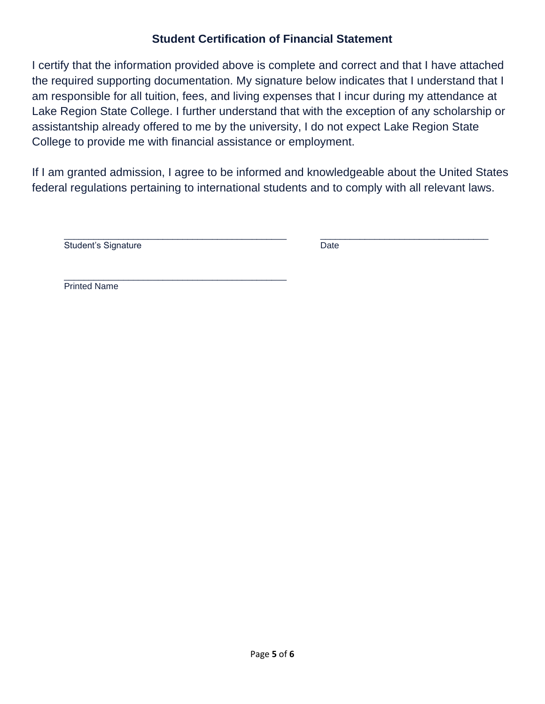#### **Student Certification of Financial Statement**

I certify that the information provided above is complete and correct and that I have attached the required supporting documentation. My signature below indicates that I understand that I am responsible for all tuition, fees, and living expenses that I incur during my attendance at Lake Region State College. I further understand that with the exception of any scholarship or assistantship already offered to me by the university, I do not expect Lake Region State College to provide me with financial assistance or employment.

If I am granted admission, I agree to be informed and knowledgeable about the United States federal regulations pertaining to international students and to comply with all relevant laws.

\_\_\_\_\_\_\_\_\_\_\_\_\_\_\_\_\_\_\_\_\_\_\_\_\_\_\_\_\_\_\_\_\_\_\_\_\_\_\_\_\_\_\_\_\_ \_\_\_\_\_\_\_\_\_\_\_\_\_\_\_\_\_\_\_\_\_\_\_\_\_\_\_\_\_\_\_\_\_\_

Student's Signature **Date** Date

\_\_\_\_\_\_\_\_\_\_\_\_\_\_\_\_\_\_\_\_\_\_\_\_\_\_\_\_\_\_\_\_\_\_\_\_\_\_\_\_\_\_\_\_\_ Printed Name